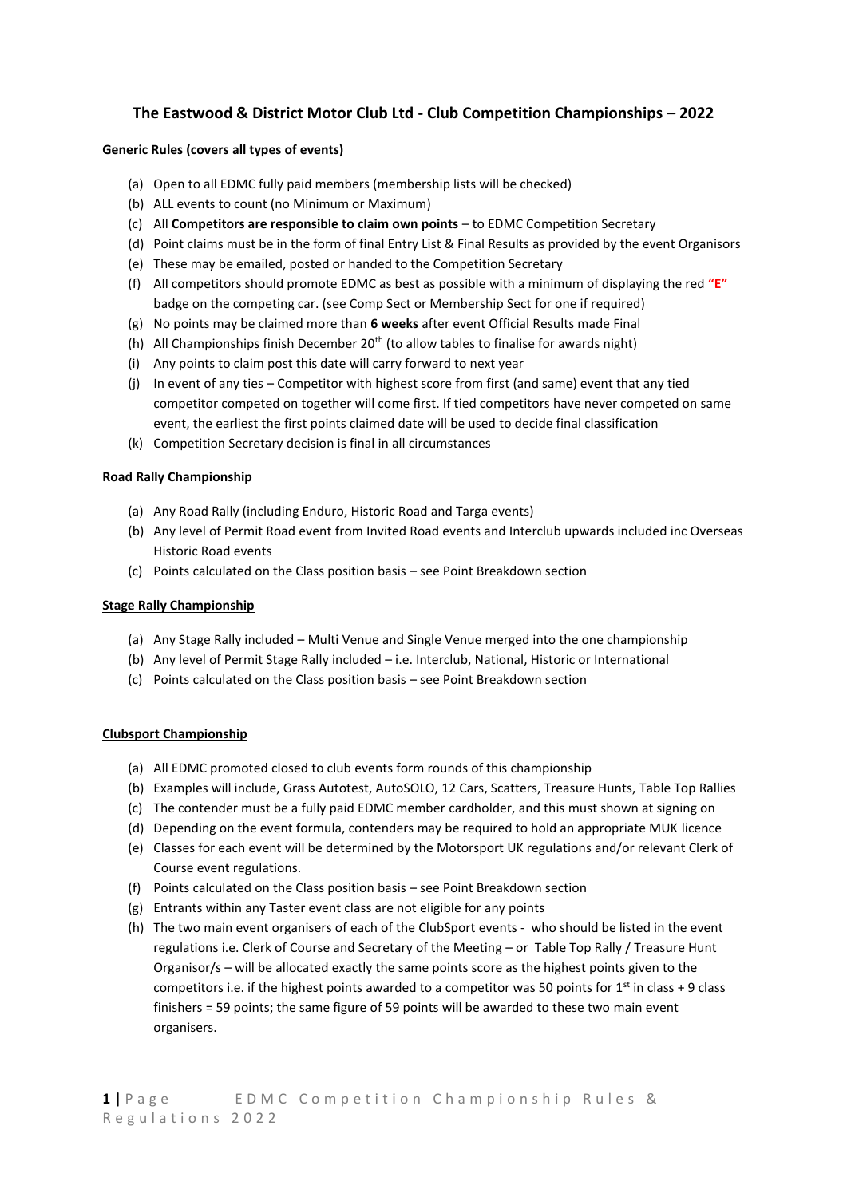# **The Eastwood & District Motor Club Ltd - Club Competition Championships – 2022**

# **Generic Rules (covers all types of events)**

- (a) Open to all EDMC fully paid members (membership lists will be checked)
- (b) ALL events to count (no Minimum or Maximum)
- (c) All **Competitors are responsible to claim own points** to EDMC Competition Secretary
- (d) Point claims must be in the form of final Entry List & Final Results as provided by the event Organisors
- (e) These may be emailed, posted or handed to the Competition Secretary
- (f) All competitors should promote EDMC as best as possible with a minimum of displaying the red **"E"** badge on the competing car. (see Comp Sect or Membership Sect for one if required)
- (g) No points may be claimed more than **6 weeks** after event Official Results made Final
- (h) All Championships finish December 20<sup>th</sup> (to allow tables to finalise for awards night)
- (i) Any points to claim post this date will carry forward to next year
- (j) In event of any ties Competitor with highest score from first (and same) event that any tied competitor competed on together will come first. If tied competitors have never competed on same event, the earliest the first points claimed date will be used to decide final classification
- (k) Competition Secretary decision is final in all circumstances

# **Road Rally Championship**

- (a) Any Road Rally (including Enduro, Historic Road and Targa events)
- (b) Any level of Permit Road event from Invited Road events and Interclub upwards included inc Overseas Historic Road events
- (c) Points calculated on the Class position basis see Point Breakdown section

#### **Stage Rally Championship**

- (a) Any Stage Rally included Multi Venue and Single Venue merged into the one championship
- (b) Any level of Permit Stage Rally included i.e. Interclub, National, Historic or International
- (c) Points calculated on the Class position basis see Point Breakdown section

#### **Clubsport Championship**

- (a) All EDMC promoted closed to club events form rounds of this championship
- (b) Examples will include, Grass Autotest, AutoSOLO, 12 Cars, Scatters, Treasure Hunts, Table Top Rallies
- (c) The contender must be a fully paid EDMC member cardholder, and this must shown at signing on
- (d) Depending on the event formula, contenders may be required to hold an appropriate MUK licence
- (e) Classes for each event will be determined by the Motorsport UK regulations and/or relevant Clerk of Course event regulations.
- (f) Points calculated on the Class position basis see Point Breakdown section
- (g) Entrants within any Taster event class are not eligible for any points
- (h) The two main event organisers of each of the ClubSport events who should be listed in the event regulations i.e. Clerk of Course and Secretary of the Meeting – or Table Top Rally / Treasure Hunt Organisor/s – will be allocated exactly the same points score as the highest points given to the competitors i.e. if the highest points awarded to a competitor was 50 points for  $1<sup>st</sup>$  in class + 9 class finishers = 59 points; the same figure of 59 points will be awarded to these two main event organisers.